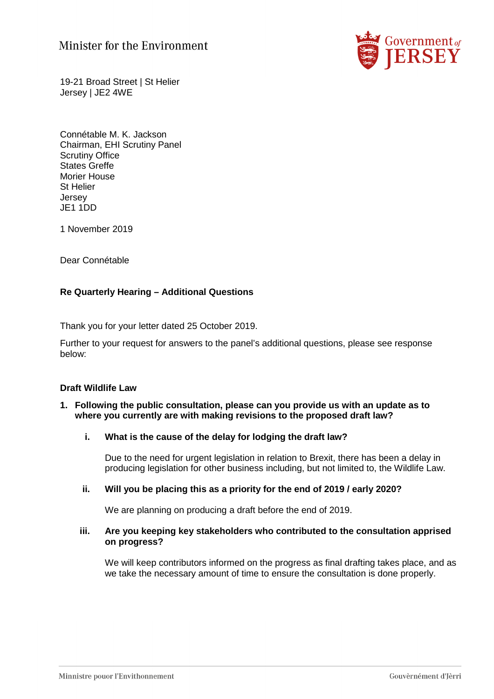# Minister for the Environment



19-21 Broad Street | St Helier Jersey | JE2 4WE

Connétable M. K. Jackson Chairman, EHI Scrutiny Panel Scrutiny Office States Greffe Morier House St Helier **Jersey** JE1 1DD

1 November 2019

Dear Connétable

# **Re Quarterly Hearing – Additional Questions**

Thank you for your letter dated 25 October 2019.

Further to your request for answers to the panel's additional questions, please see response below:

# **Draft Wildlife Law**

## **1. Following the public consultation, please can you provide us with an update as to where you currently are with making revisions to the proposed draft law?**

#### **i. What is the cause of the delay for lodging the draft law?**

Due to the need for urgent legislation in relation to Brexit, there has been a delay in producing legislation for other business including, but not limited to, the Wildlife Law.

#### **ii. Will you be placing this as a priority for the end of 2019 / early 2020?**

We are planning on producing a draft before the end of 2019.

#### **iii. Are you keeping key stakeholders who contributed to the consultation apprised on progress?**

We will keep contributors informed on the progress as final drafting takes place, and as we take the necessary amount of time to ensure the consultation is done properly.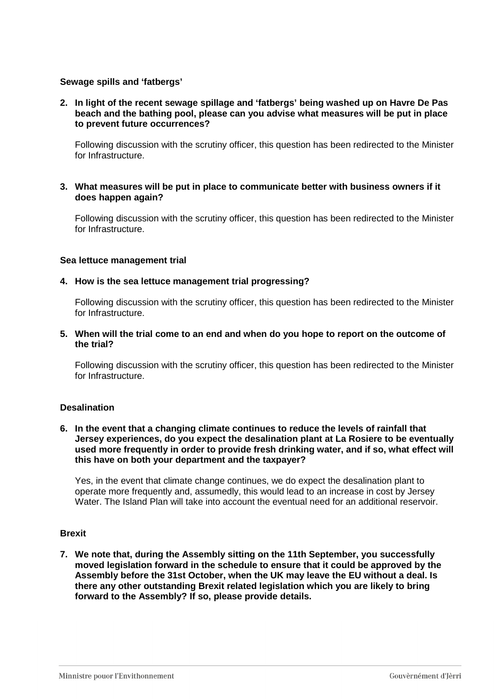# **Sewage spills and 'fatbergs'**

**2. In light of the recent sewage spillage and 'fatbergs' being washed up on Havre De Pas beach and the bathing pool, please can you advise what measures will be put in place to prevent future occurrences?** 

Following discussion with the scrutiny officer, this question has been redirected to the Minister for Infrastructure.

**3. What measures will be put in place to communicate better with business owners if it does happen again?** 

Following discussion with the scrutiny officer, this question has been redirected to the Minister for Infrastructure.

## **Sea lettuce management trial**

## **4. How is the sea lettuce management trial progressing?**

Following discussion with the scrutiny officer, this question has been redirected to the Minister for Infrastructure.

**5. When will the trial come to an end and when do you hope to report on the outcome of the trial?** 

Following discussion with the scrutiny officer, this question has been redirected to the Minister for Infrastructure.

## **Desalination**

#### **6. In the event that a changing climate continues to reduce the levels of rainfall that Jersey experiences, do you expect the desalination plant at La Rosiere to be eventually used more frequently in order to provide fresh drinking water, and if so, what effect will this have on both your department and the taxpayer?**

Yes, in the event that climate change continues, we do expect the desalination plant to operate more frequently and, assumedly, this would lead to an increase in cost by Jersey Water. The Island Plan will take into account the eventual need for an additional reservoir.

# **Brexit**

**7. We note that, during the Assembly sitting on the 11th September, you successfully moved legislation forward in the schedule to ensure that it could be approved by the Assembly before the 31st October, when the UK may leave the EU without a deal. Is there any other outstanding Brexit related legislation which you are likely to bring forward to the Assembly? If so, please provide details.**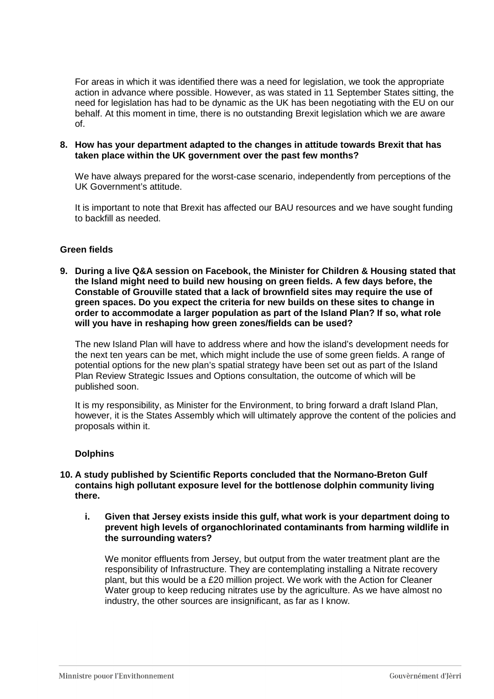For areas in which it was identified there was a need for legislation, we took the appropriate action in advance where possible. However, as was stated in 11 September States sitting, the need for legislation has had to be dynamic as the UK has been negotiating with the EU on our behalf. At this moment in time, there is no outstanding Brexit legislation which we are aware of.

## **8. How has your department adapted to the changes in attitude towards Brexit that has taken place within the UK government over the past few months?**

We have always prepared for the worst-case scenario, independently from perceptions of the UK Government's attitude.

It is important to note that Brexit has affected our BAU resources and we have sought funding to backfill as needed.

## **Green fields**

**9. During a live Q&A session on Facebook, the Minister for Children & Housing stated that the Island might need to build new housing on green fields. A few days before, the Constable of Grouville stated that a lack of brownfield sites may require the use of green spaces. Do you expect the criteria for new builds on these sites to change in order to accommodate a larger population as part of the Island Plan? If so, what role will you have in reshaping how green zones/fields can be used?** 

The new Island Plan will have to address where and how the island's development needs for the next ten years can be met, which might include the use of some green fields. A range of potential options for the new plan's spatial strategy have been set out as part of the Island Plan Review Strategic Issues and Options consultation, the outcome of which will be published soon.

It is my responsibility, as Minister for the Environment, to bring forward a draft Island Plan, however, it is the States Assembly which will ultimately approve the content of the policies and proposals within it.

#### **Dolphins**

- **10. A study published by Scientific Reports concluded that the Normano-Breton Gulf contains high pollutant exposure level for the bottlenose dolphin community living there.** 
	- **i. Given that Jersey exists inside this gulf, what work is your department doing to prevent high levels of organochlorinated contaminants from harming wildlife in the surrounding waters?**

We monitor effluents from Jersey, but output from the water treatment plant are the responsibility of Infrastructure. They are contemplating installing a Nitrate recovery plant, but this would be a £20 million project. We work with the Action for Cleaner Water group to keep reducing nitrates use by the agriculture. As we have almost no industry, the other sources are insignificant, as far as I know.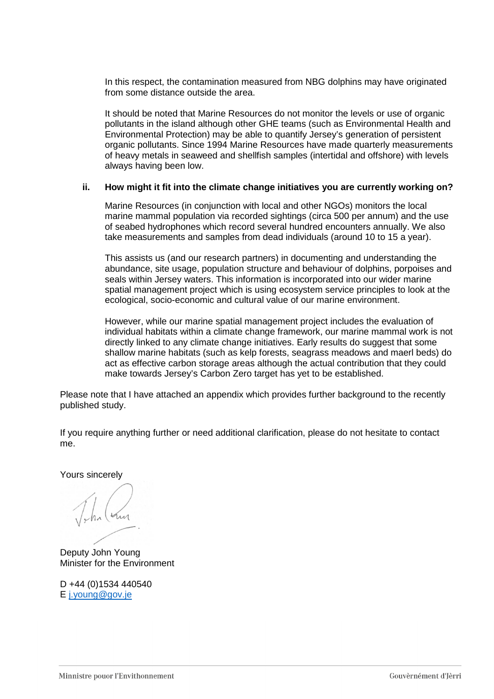In this respect, the contamination measured from NBG dolphins may have originated from some distance outside the area.

It should be noted that Marine Resources do not monitor the levels or use of organic pollutants in the island although other GHE teams (such as Environmental Health and Environmental Protection) may be able to quantify Jersey's generation of persistent organic pollutants. Since 1994 Marine Resources have made quarterly measurements of heavy metals in seaweed and shellfish samples (intertidal and offshore) with levels always having been low.

## **ii. How might it fit into the climate change initiatives you are currently working on?**

Marine Resources (in conjunction with local and other NGOs) monitors the local marine mammal population via recorded sightings (circa 500 per annum) and the use of seabed hydrophones which record several hundred encounters annually. We also take measurements and samples from dead individuals (around 10 to 15 a year).

This assists us (and our research partners) in documenting and understanding the abundance, site usage, population structure and behaviour of dolphins, porpoises and seals within Jersey waters. This information is incorporated into our wider marine spatial management project which is using ecosystem service principles to look at the ecological, socio-economic and cultural value of our marine environment.

However, while our marine spatial management project includes the evaluation of individual habitats within a climate change framework, our marine mammal work is not directly linked to any climate change initiatives. Early results do suggest that some shallow marine habitats (such as kelp forests, seagrass meadows and maerl beds) do act as effective carbon storage areas although the actual contribution that they could make towards Jersey's Carbon Zero target has yet to be established.

Please note that I have attached an appendix which provides further background to the recently published study.

If you require anything further or need additional clarification, please do not hesitate to contact me.

Yours sincerely

Deputy John Young Minister for the Environment

D +44 (0)1534 440540 E j.young@gov.je